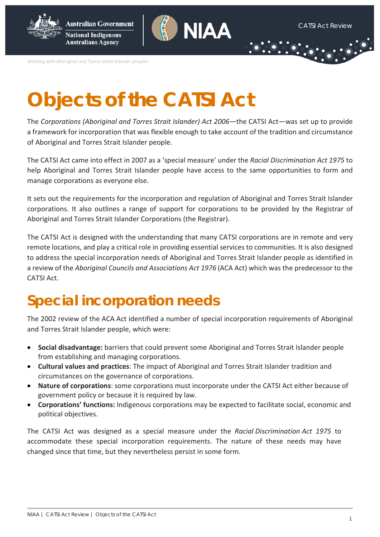



*Working with Aboriginal and Torres Strait Islander peoples*

# **Objects of the CATSI Act**

The *Corporations (Aboriginal and Torres Strait Islander) Act 2006*—the CATSI Act—was set up to provide a framework for incorporation that was flexible enough to take account of the tradition and circumstance of Aboriginal and Torres Strait Islander people.

The CATSI Act came into effect in 2007 as a 'special measure' under the *Racial Discrimination Act 1975* to help Aboriginal and Torres Strait Islander people have access to the same opportunities to form and manage corporations as everyone else.

It sets out the requirements for the incorporation and regulation of Aboriginal and Torres Strait Islander corporations. It also outlines a range of support for corporations to be provided by the Registrar of Aboriginal and Torres Strait Islander Corporations (the Registrar).

The CATSI Act is designed with the understanding that many CATSI corporations are in remote and very remote locations, and play a critical role in providing essential services to communities. It is also designed to address the special incorporation needs of Aboriginal and Torres Strait Islander people as identified in a review of the *Aboriginal Councils and Associations Act 1976* (ACA Act) which was the predecessor to the CATSI Act.

## **Special incorporation needs**

The 2002 review of the ACA Act identified a number of special incorporation requirements of Aboriginal and Torres Strait Islander people, which were:

- **Social disadvantage:** barriers that could prevent some Aboriginal and Torres Strait Islander people from establishing and managing corporations.
- **Cultural values and practices**: The impact of Aboriginal and Torres Strait Islander tradition and circumstances on the governance of corporations.
- **Nature of corporations**: some corporations must incorporate under the CATSI Act either because of government policy or because it is required by law.
- **Corporations' functions:** Indigenous corporations may be expected to facilitate social, economic and political objectives.

The CATSI Act was designed as a special measure under the *Racial Discrimination Act 1975* to accommodate these special incorporation requirements. The nature of these needs may have changed since that time, but they nevertheless persist in some form.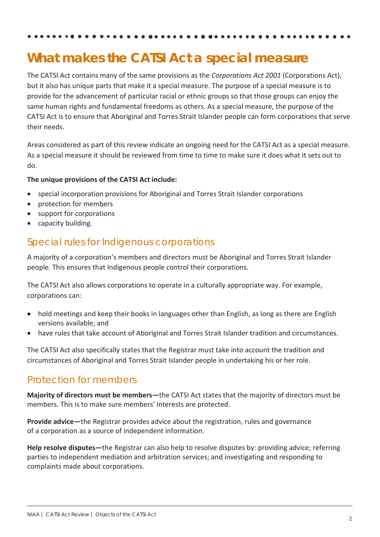## **What makes the CATSI Act a special measure**

The CATSI Act contains many of the same provisions as the *Corporations Act 2001* (Corporations Act), but it also has unique parts that make it a special measure. The purpose of a special measure is to provide for the advancement of particular racial or ethnic groups so that those groups can enjoy the same human rights and fundamental freedoms as others. As a special measure, the purpose of the CATSI Act is to ensure that Aboriginal and Torres Strait Islander people can form corporations that serve their needs.

Areas considered as part of this review indicate an ongoing need for the CATSI Act as a special measure. As a special measure it should be reviewed from time to time to make sure it does what it sets out to do.

### **The unique provisions of the CATSI Act include:**

- special incorporation provisions for Aboriginal and Torres Strait Islander corporations
- protection for members
- support for corporations
- capacity building.

### Special rules for Indigenous corporations

A majority of a corporation's members and directors must be Aboriginal and Torres Strait Islander people. This ensures that Indigenous people control their corporations.

The CATSI Act also allows corporations to operate in a culturally appropriate way. For example, corporations can:

- hold meetings and keep their books in languages other than English, as long as there are English versions available; and
- have rules that take account of Aboriginal and Torres Strait Islander tradition and circumstances.

The CATSI Act also specifically states that the Registrar must take into account the tradition and circumstances of Aboriginal and Torres Strait Islander people in undertaking his or her role.

## Protection for members

**Majority of directors must be members—**the CATSI Act states that the majority of directors must be members. This is to make sure members' interests are protected.

**Provide advice—**the Registrar provides advice about the registration, rules and governance of a corporation as a source of independent information.

**Help resolve disputes—**the Registrar can also help to resolve disputes by: providing advice; referring parties to independent mediation and arbitration services; and investigating and responding to complaints made about corporations.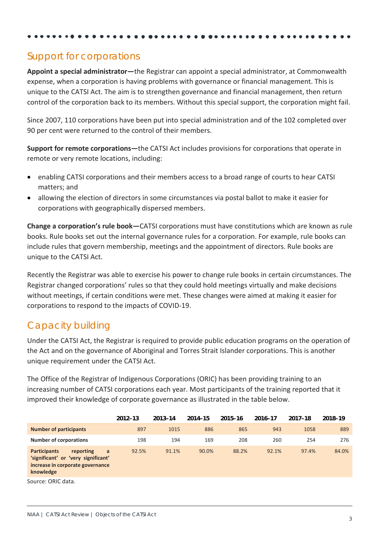## Support for corporations

**Appoint a special administrator—**the Registrar can appoint a special administrator, at Commonwealth expense, when a corporation is having problems with governance or financial management. This is unique to the CATSI Act. The aim is to strengthen governance and financial management, then return control of the corporation back to its members. Without this special support, the corporation might fail.

Since 2007, 110 corporations have been put into special administration and of the 102 completed over 90 per cent were returned to the control of their members.

**Support for remote corporations—**the CATSI Act includes provisions for corporations that operate in remote or very remote locations, including:

- enabling CATSI corporations and their members access to a broad range of courts to hear CATSI matters; and
- allowing the election of directors in some circumstances via postal ballot to make it easier for corporations with geographically dispersed members.

**Change a corporation's rule book—**CATSI corporations must have constitutions which are known as rule books. Rule books set out the internal governance rules for a corporation. For example, rule books can include rules that govern membership, meetings and the appointment of directors. Rule books are unique to the CATSI Act.

Recently the Registrar was able to exercise his power to change rule books in certain circumstances. The Registrar changed corporations' rules so that they could hold meetings virtually and make decisions without meetings, if certain conditions were met. These changes were aimed at making it easier for corporations to respond to the impacts of COVID-19.

## Capacity building

Under the CATSI Act, the Registrar is required to provide public education programs on the operation of the Act and on the governance of Aboriginal and Torres Strait Islander corporations. This is another unique requirement under the CATSI Act.

The Office of the Registrar of Indigenous Corporations (ORIC) has been providing training to an increasing number of CATSI corporations each year. Most participants of the training reported that it improved their knowledge of corporate governance as illustrated in the table below.

|                                                                                                                               | $2012 - 13$ | 2013-14 | 2014-15 | 2015-16 | 2016-17 | 2017-18 | 2018-19 |
|-------------------------------------------------------------------------------------------------------------------------------|-------------|---------|---------|---------|---------|---------|---------|
| <b>Number of participants</b>                                                                                                 | 897         | 1015    | 886     | 865     | 943     | 1058    | 889     |
| <b>Number of corporations</b>                                                                                                 | 198         | 194     | 169     | 208     | 260     | 254     | 276     |
| <b>Participants</b><br>reporting<br>a<br>'significant' or 'very significant'<br>increase in corporate governance<br>knowledge | 92.5%       | 91.1%   | 90.0%   | 88.2%   | 92.1%   | 97.4%   | 84.0%   |
| Source: ORIC data                                                                                                             |             |         |         |         |         |         |         |

Source: ORIC data.